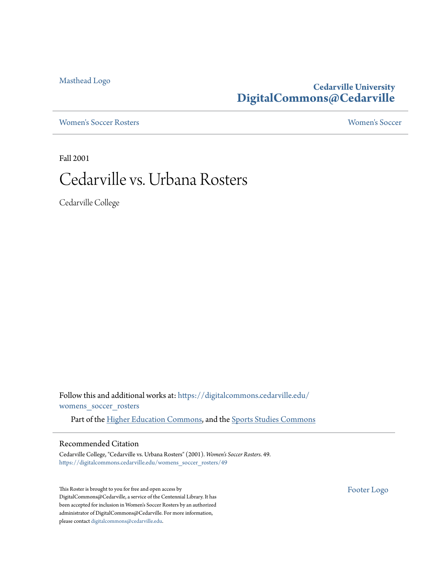[Masthead Logo](http://www.cedarville.edu/?utm_source=digitalcommons.cedarville.edu%2Fwomens_soccer_rosters%2F49&utm_medium=PDF&utm_campaign=PDFCoverPages)

### **Cedarville University [DigitalCommons@Cedarville](https://digitalcommons.cedarville.edu?utm_source=digitalcommons.cedarville.edu%2Fwomens_soccer_rosters%2F49&utm_medium=PDF&utm_campaign=PDFCoverPages)**

[Women's Soccer Rosters](https://digitalcommons.cedarville.edu/womens_soccer_rosters?utm_source=digitalcommons.cedarville.edu%2Fwomens_soccer_rosters%2F49&utm_medium=PDF&utm_campaign=PDFCoverPages) [Women's Soccer](https://digitalcommons.cedarville.edu/womens_soccer?utm_source=digitalcommons.cedarville.edu%2Fwomens_soccer_rosters%2F49&utm_medium=PDF&utm_campaign=PDFCoverPages)

Fall 2001

### Cedarville vs. Urbana Rosters

Cedarville College

Follow this and additional works at: [https://digitalcommons.cedarville.edu/](https://digitalcommons.cedarville.edu/womens_soccer_rosters?utm_source=digitalcommons.cedarville.edu%2Fwomens_soccer_rosters%2F49&utm_medium=PDF&utm_campaign=PDFCoverPages) [womens\\_soccer\\_rosters](https://digitalcommons.cedarville.edu/womens_soccer_rosters?utm_source=digitalcommons.cedarville.edu%2Fwomens_soccer_rosters%2F49&utm_medium=PDF&utm_campaign=PDFCoverPages)

Part of the [Higher Education Commons](http://network.bepress.com/hgg/discipline/1245?utm_source=digitalcommons.cedarville.edu%2Fwomens_soccer_rosters%2F49&utm_medium=PDF&utm_campaign=PDFCoverPages), and the [Sports Studies Commons](http://network.bepress.com/hgg/discipline/1198?utm_source=digitalcommons.cedarville.edu%2Fwomens_soccer_rosters%2F49&utm_medium=PDF&utm_campaign=PDFCoverPages)

#### Recommended Citation

Cedarville College, "Cedarville vs. Urbana Rosters" (2001). *Women's Soccer Rosters*. 49. [https://digitalcommons.cedarville.edu/womens\\_soccer\\_rosters/49](https://digitalcommons.cedarville.edu/womens_soccer_rosters/49?utm_source=digitalcommons.cedarville.edu%2Fwomens_soccer_rosters%2F49&utm_medium=PDF&utm_campaign=PDFCoverPages)

This Roster is brought to you for free and open access by DigitalCommons@Cedarville, a service of the Centennial Library. It has been accepted for inclusion in Women's Soccer Rosters by an authorized administrator of DigitalCommons@Cedarville. For more information, please contact [digitalcommons@cedarville.edu.](mailto:digitalcommons@cedarville.edu)

[Footer Logo](http://www.cedarville.edu/Academics/Library.aspx?utm_source=digitalcommons.cedarville.edu%2Fwomens_soccer_rosters%2F49&utm_medium=PDF&utm_campaign=PDFCoverPages)